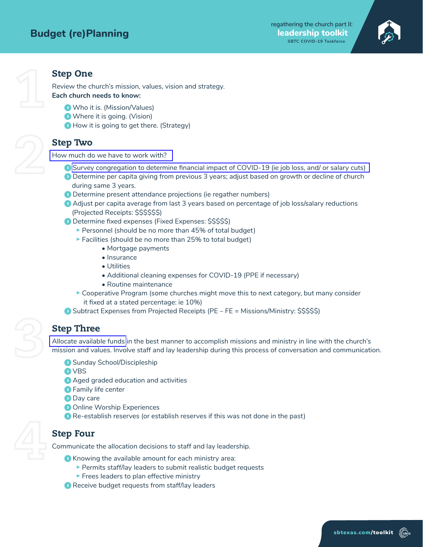

## **Step One**

Review the church's mission, values, vision and strategy. Each church needs to know:

- **(C)** Who it is. (Mission/Values)
- $\bullet$  Where it is going. (Vision)
- How it is going to get there. (Strategy)

#### **Step Two**

How much do we have to work with?

- Survey congregation to determine financial impact of COVID-19 (ie job loss, and/ or salary cuts)
- **O** Determine per capita giving from previous 3 years; adjust based on growth or decline of church during same 3 years.
- **O** Determine present attendance projections (ie regather numbers)
- $\Omega$  Adjust per capita average from last 3 years based on percentage of job loss/salary reductions (Projected Receipts: \$\$\$\$\$\$)
- **•** Determine fixed expenses (Fixed Expenses: \$\$\$\$\$)
	- Personnel (should be no more than  $45%$  of total budget)
	- $\blacktriangleright$  Facilities (should be no more than 25% to total budget)
		- Mortgage payments
		- Insurance
		- Utilities
		- Additional cleaning expenses for COVID-19 (PPE if necessary)
		- Routine maintenance
	- $\triangleright$  Cooperative Program (some churches might move this to next category, but many consider it fixed at a stated percentage: ie 10%)
- $\bullet$  Subtract Expenses from Projected Receipts (PE FE = Missions/Ministry: \$\$\$\$\$)

### **Step Three**

Allocate available funds in the best manner to accomplish missions and ministry in line with the church's mission and values. Involve staff and lay leadership during this process of conversation and communication.

- **Discipleship** Sunday School/Discipleship
- **O** VBS
- $\bullet$  Aged graded education and activities
- $\bullet$  Family life center
- **Day** care
- **Conline Worship Experiences**
- $\bullet$  Re-establish reserves (or establish reserves if this was not done in the past)

### **Step Four**

Communicate the allocation decisions to staff and lay leadership.

- $\bullet$  Knowing the available amount for each ministry area:
	- $\blacktriangleright$  Permits staff/lay leaders to submit realistic budget requests
	- $\blacktriangleright$  Frees leaders to plan effective ministry
- $\bullet$  Receive budget requests from staff/lay leaders